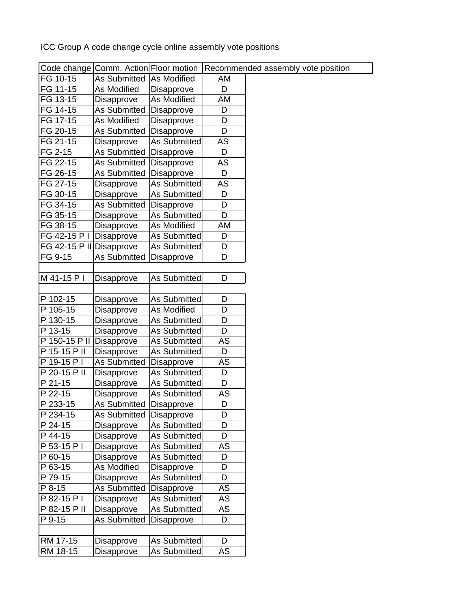ICC Group A code change cycle online assembly vote positions

|                          | Code change Comm. Action Floor motion |                     |    | Recommended assembly vote position |
|--------------------------|---------------------------------------|---------------------|----|------------------------------------|
| FG 10-15                 | As Submitted                          | As Modified         | AM |                                    |
| FG 11-15                 | As Modified                           | Disapprove          | D  |                                    |
| FG 13-15                 | Disapprove                            | As Modified         | AM |                                    |
| FG 14-15                 | As Submitted                          | Disapprove          | D  |                                    |
| FG 17-15                 | As Modified                           | Disapprove          | D  |                                    |
| FG 20-15                 | <b>As Submitted</b>                   | Disapprove          | D  |                                    |
| FG 21-15                 | Disapprove                            | <b>As Submitted</b> | AS |                                    |
| FG 2-15                  | As Submitted                          | Disapprove          | D  |                                    |
| FG 22-15                 | As Submitted                          | Disapprove          | AS |                                    |
| FG 26-15                 | As Submitted                          | Disapprove          | D  |                                    |
| FG 27-15                 | Disapprove                            | <b>As Submitted</b> | AS |                                    |
| FG 30-15                 | Disapprove                            | As Submitted        | D  |                                    |
| FG 34-15                 | As Submitted                          | Disapprove          | D  |                                    |
| FG 35-15                 | Disapprove                            | <b>As Submitted</b> | D  |                                    |
| FG 38-15                 | Disapprove                            | As Modified         | AM |                                    |
| FG 42-15 P I             | Disapprove                            | As Submitted        | D  |                                    |
| FG 42-15 P II Disapprove |                                       | <b>As Submitted</b> | D  |                                    |
| FG 9-15                  | As Submitted                          | Disapprove          | D  |                                    |
|                          |                                       |                     |    |                                    |
| M 41-15 P I              | Disapprove                            | As Submitted        | D  |                                    |
|                          |                                       |                     |    |                                    |
| P 102-15                 | Disapprove                            | As Submitted        | D  |                                    |
| P 105-15                 | Disapprove                            | As Modified         | D  |                                    |
| P 130-15                 | Disapprove                            | As Submitted        | D  |                                    |
| P 13-15                  | Disapprove                            | As Submitted        | D  |                                    |
| P 150-15 P II            | Disapprove                            | As Submitted        | AS |                                    |
| P 15-15 P II             | Disapprove                            | <b>As Submitted</b> | D  |                                    |
| P 19-15 P I              | As Submitted                          | <b>Disapprove</b>   | AS |                                    |
| P 20-15 P II             | Disapprove                            | As Submitted        | D  |                                    |
| P 21-15                  | Disapprove                            | As Submitted        | D  |                                    |
| P 22-15                  | Disapprove                            | <b>As Submitted</b> | AS |                                    |
| P 233-15                 | As Submitted                          | Disapprove          | D  |                                    |
| P 234-15                 | As Submitted                          | Disapprove          | D  |                                    |
| P 24-15                  | Disapprove                            | As Submitted        | D  |                                    |
| P 44-15                  | <b>Disapprove</b>                     | As Submitted        | D  |                                    |
| P 53-15 P I              | Disapprove                            | As Submitted        | AS |                                    |
| P 60-15                  | Disapprove                            | As Submitted        | D  |                                    |
| P 63-15                  | As Modified                           | Disapprove          | D  |                                    |
| P 79-15                  | Disapprove                            | <b>As Submitted</b> | D  |                                    |
| P 8-15                   | As Submitted                          | Disapprove          | AS |                                    |
| P 82-15 P I              | <b>Disapprove</b>                     | <b>As Submitted</b> | AS |                                    |
| P 82-15 P II             | Disapprove                            | As Submitted        | AS |                                    |
| P 9-15                   | As Submitted                          | Disapprove          | D  |                                    |
|                          |                                       |                     |    |                                    |
| RM 17-15                 | Disapprove                            | As Submitted        | D  |                                    |
| RM 18-15                 | <b>Disapprove</b>                     | As Submitted        | AS |                                    |